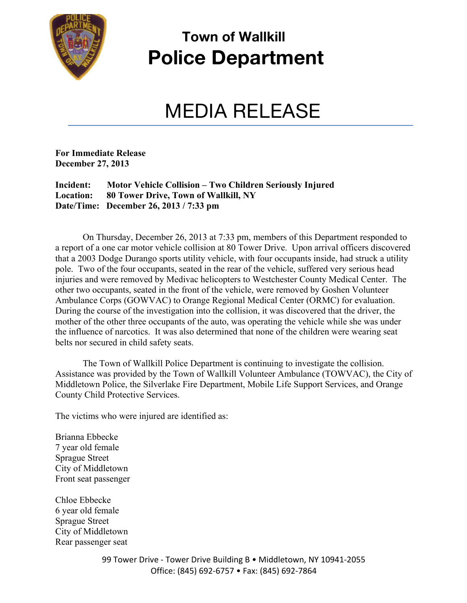

## **Town of Wallkill Police Department**

## MEDIA RELEASE

**For Immediate Release December 27, 2013**

**Incident: Motor Vehicle Collision – Two Children Seriously Injured Location: 80 Tower Drive, Town of Wallkill, NY Date/Time: December 26, 2013 / 7:33 pm**

 On Thursday, December 26, 2013 at 7:33 pm, members of this Department responded to a report of a one car motor vehicle collision at 80 Tower Drive. Upon arrival officers discovered that a 2003 Dodge Durango sports utility vehicle, with four occupants inside, had struck a utility pole. Two of the four occupants, seated in the rear of the vehicle, suffered very serious head injuries and were removed by Medivac helicopters to Westchester County Medical Center. The other two occupants, seated in the front of the vehicle, were removed by Goshen Volunteer Ambulance Corps (GOWVAC) to Orange Regional Medical Center (ORMC) for evaluation. During the course of the investigation into the collision, it was discovered that the driver, the mother of the other three occupants of the auto, was operating the vehicle while she was under the influence of narcotics. It was also determined that none of the children were wearing seat belts nor secured in child safety seats.

The Town of Wallkill Police Department is continuing to investigate the collision. Assistance was provided by the Town of Wallkill Volunteer Ambulance (TOWVAC), the City of Middletown Police, the Silverlake Fire Department, Mobile Life Support Services, and Orange County Child Protective Services.

The victims who were injured are identified as:

Brianna Ebbecke 7 year old female Sprague Street City of Middletown Front seat passenger

Chloe Ebbecke 6 year old female Sprague Street City of Middletown Rear passenger seat